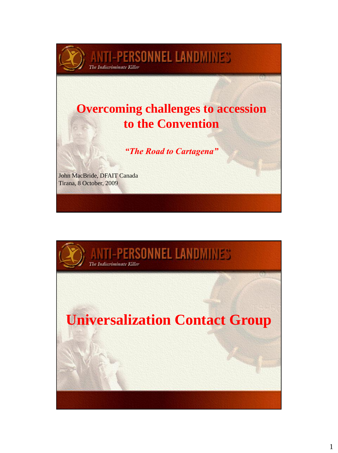## **Overcoming challenges to accession to the Convention**

**ANTI-PERSONNEL LANDMINES** 

*"The Road to Cartagena"*

John MacBride, DFAIT Canada Tirana, 8 October, 2009

**The Indiscriminate Killer** 

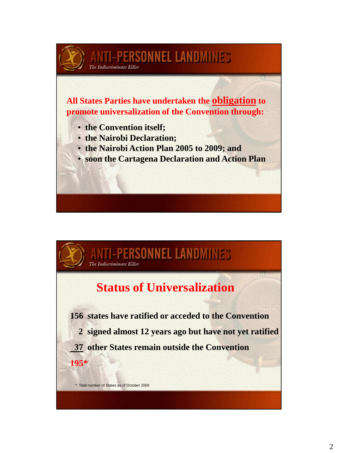

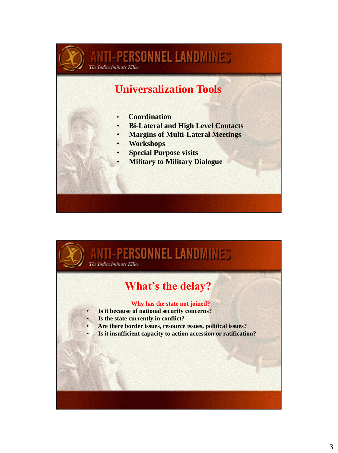

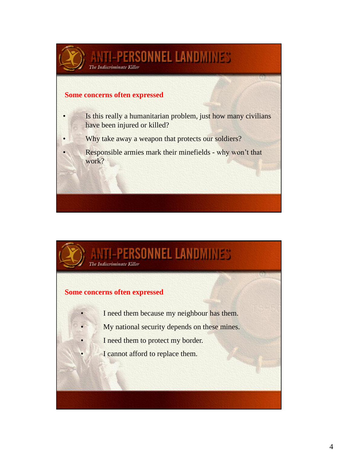

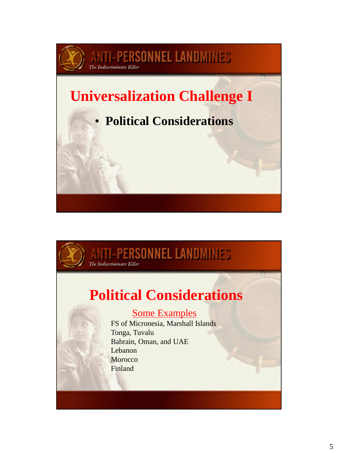

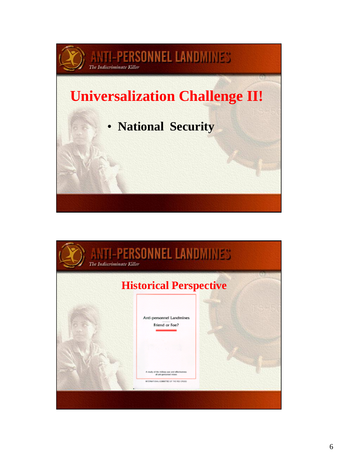